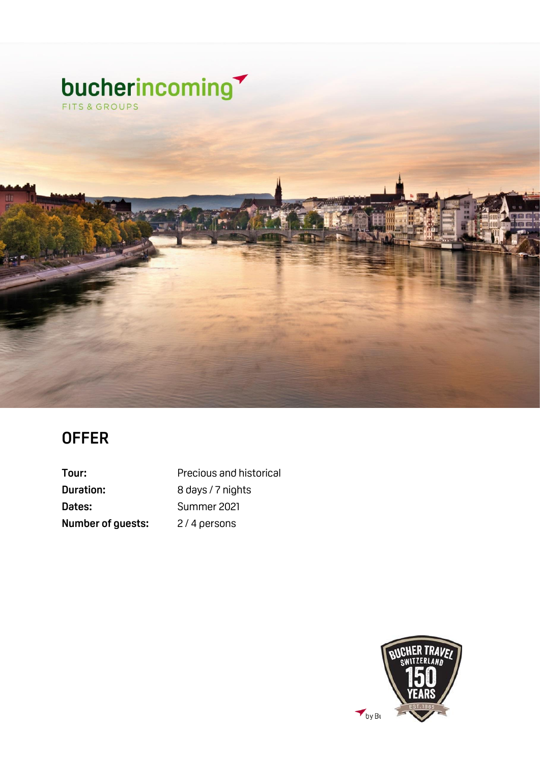

### **OFFER**

**Tour:** Precious and historical **Duration:** 8 days / 7 nights **Dates:** Summer 2021 **Number of guests:** 2/4 persons

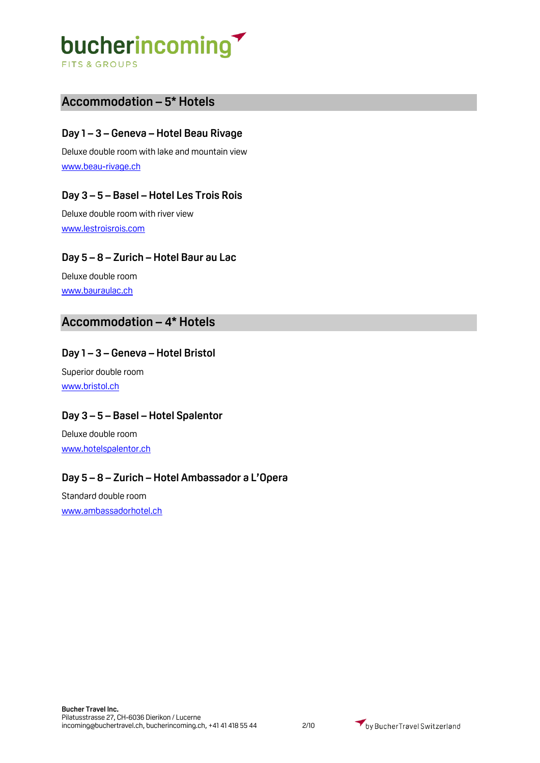**FITS & GROUPS** 

#### **Accommodation – 5\* Hotels**

#### **Day 1 – 3 – Geneva – Hotel Beau Rivage**

Deluxe double room with lake and mountain view [www.beau-rivage.ch](http://www.beau-rivage.ch/)

#### **Day 3 – 5 – Basel – Hotel Les Trois Rois**

Deluxe double room with river view [www.lestroisrois.com](http://www.lestroisrois.com/)

#### **Day 5 – 8 – Zurich – Hotel Baur au Lac**

Deluxe double room [www.bauraulac.ch](http://www.bauraulac.ch/)

#### **Accommodation – 4\* Hotels**

#### **Day 1 – 3 – Geneva – Hotel Bristol**

Superior double room [www.bristol.ch](http://www.bristol.ch/)

#### **Day 3 – 5 – Basel – Hotel Spalentor**

Deluxe double room [www.hotelspalentor.ch](http://www.hotelspalentor.ch/)

#### **Day 5 – 8 – Zurich – Hotel Ambassador a L'Opera**

Standard double room [www.ambassadorhotel.ch](http://www.ambassadorhotel.ch/)

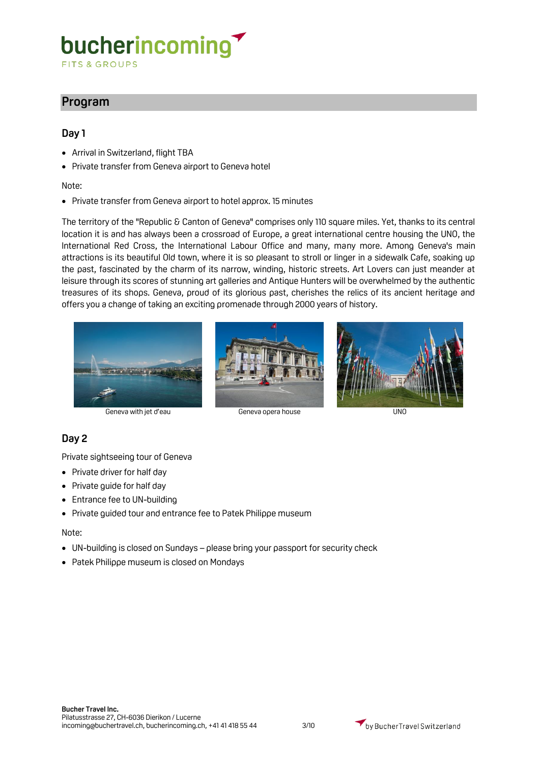**FITS & GROUPS** 

#### **Program**

#### **Day 1**

- Arrival in Switzerland, flight TBA
- Private transfer from Geneva airport to Geneva hotel

#### Note:

• Private transfer from Geneva airport to hotel approx. 15 minutes

The territory of the "Republic & Canton of Geneva" comprises only 110 square miles. Yet, thanks to its central location it is and has always been a crossroad of Europe, a great international centre housing the UNO, the International Red Cross, the International Labour Office and many, many more. Among Geneva's main attractions is its beautiful Old town, where it is so pleasant to stroll or linger in a sidewalk Cafe, soaking up the past, fascinated by the charm of its narrow, winding, historic streets. Art Lovers can just meander at leisure through its scores of stunning art galleries and Antique Hunters will be overwhelmed by the authentic treasures of its shops. Geneva, proud of its glorious past, cherishes the relics of its ancient heritage and offers you a change of taking an exciting promenade through 2000 years of history.







#### Geneva with jet d'eau Geneva opera house UNO

#### **Day 2**

Private sightseeing tour of Geneva

- Private driver for half day
- Private guide for half day
- Entrance fee to UN-building
- Private guided tour and entrance fee to Patek Philippe museum

#### Note:

- UN-building is closed on Sundays please bring your passport for security check
- Patek Philippe museum is closed on Mondays

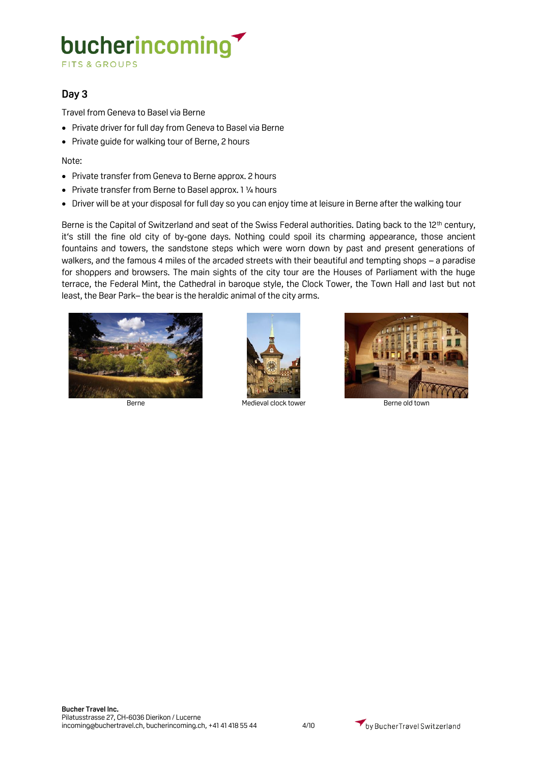**FITS & GROUPS** 

#### **Day 3**

Travel from Geneva to Basel via Berne

- Private driver for full day from Geneva to Basel via Berne
- Private guide for walking tour of Berne, 2 hours

Note:

- Private transfer from Geneva to Berne approx. 2 hours
- Private transfer from Berne to Basel approx. 1 ¼ hours
- Driver will be at your disposal for full day so you can enjoy time at leisure in Berne after the walking tour

Berne is the Capital of Switzerland and seat of the Swiss Federal authorities. Dating back to the 12<sup>th</sup> century, it's still the fine old city of by-gone days. Nothing could spoil its charming appearance, those ancient fountains and towers, the sandstone steps which were worn down by past and present generations of walkers, and the famous 4 miles of the arcaded streets with their beautiful and tempting shops - a paradise for shoppers and browsers. The main sights of the city tour are the Houses of Parliament with the huge terrace, the Federal Mint, the Cathedral in baroque style, the Clock Tower, the Town Hall and last but not least, the Bear Park– the bear is the heraldic animal of the city arms.





Berne Medieval clock tower Berne old town



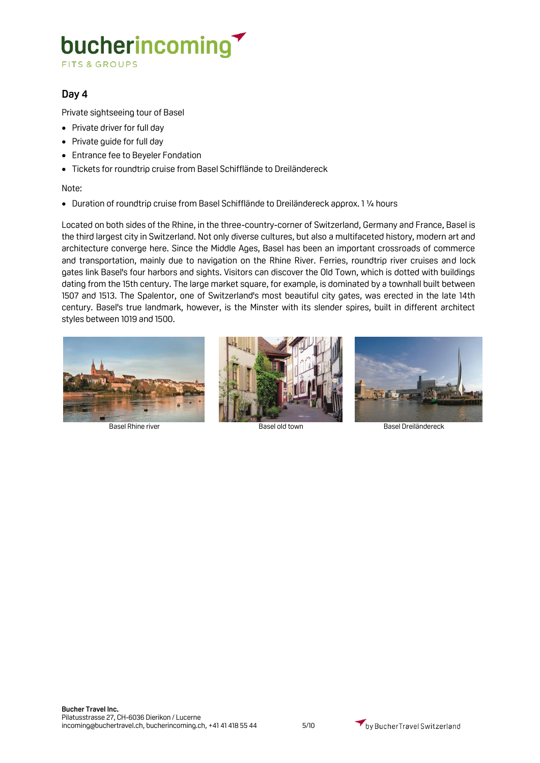**FITS & GROUPS** 

#### **Day 4**

Private sightseeing tour of Basel

- Private driver for full day
- Private guide for full day
- Entrance fee to Beyeler Fondation
- Tickets for roundtrip cruise from Basel Schifflände to Dreiländereck

Note:

Duration of roundtrip cruise from Basel Schifflände to Dreiländereck approx. 1 ¼ hours

Located on both sides of the Rhine, in the three-country-corner of Switzerland, Germany and France, Basel is the third largest city in Switzerland. Not only diverse cultures, but also a multifaceted history, modern art and architecture converge here. Since the Middle Ages, Basel has been an important crossroads of commerce and transportation, mainly due to navigation on the Rhine River. Ferries, roundtrip river cruises and lock gates link Basel's four harbors and sights. Visitors can discover the Old Town, which is dotted with buildings dating from the 15th century. The large market square, for example, is dominated by a townhall built between 1507 and 1513. The Spalentor, one of Switzerland's most beautiful city gates, was erected in the late 14th century. Basel's true landmark, however, is the Minster with its slender spires, built in different architect styles between 1019 and 1500.







Basel Rhine river **Basel old town** Basel Old town Basel Dreiländereck

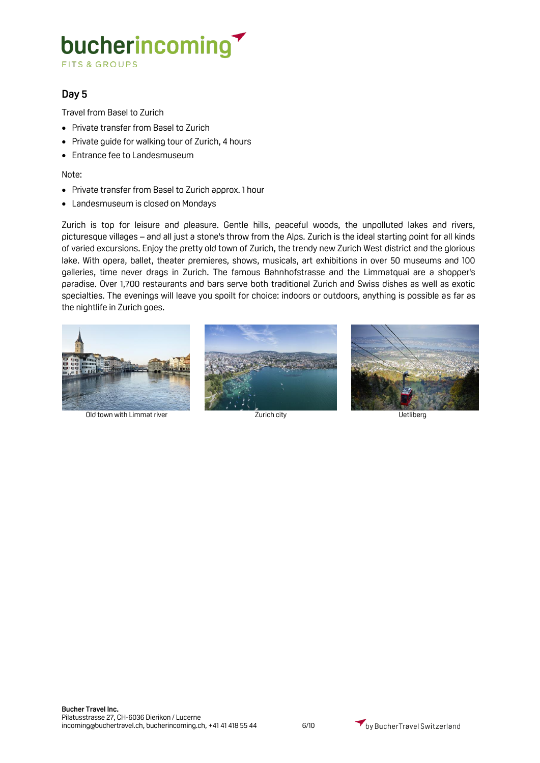FITS & GROUPS

#### **Day 5**

Travel from Basel to Zurich

- Private transfer from Basel to Zurich
- Private guide for walking tour of Zurich, 4 hours
- Entrance fee to Landesmuseum

Note:

- Private transfer from Basel to Zurich approx. 1 hour
- Landesmuseum is closed on Mondays

Zurich is top for leisure and pleasure. Gentle hills, peaceful woods, the unpolluted lakes and rivers, picturesque villages – and all just a stone's throw from the Alps. Zurich is the ideal starting point for all kinds of varied excursions. Enjoy the pretty old town of Zurich, the trendy new Zurich West district and the glorious lake. With opera, ballet, theater premieres, shows, musicals, art exhibitions in over 50 museums and 100 galleries, time never drags in Zurich. The famous Bahnhofstrasse and the Limmatquai are a shopper's paradise. Over 1,700 restaurants and bars serve both traditional Zurich and Swiss dishes as well as exotic specialties. The evenings will leave you spoilt for choice: indoors or outdoors, anything is possible as far as the nightlife in Zurich goes.



Old town with Limmat river **Example 2** Zurich city **CONSUMING THE VEHILG** UEtliberg





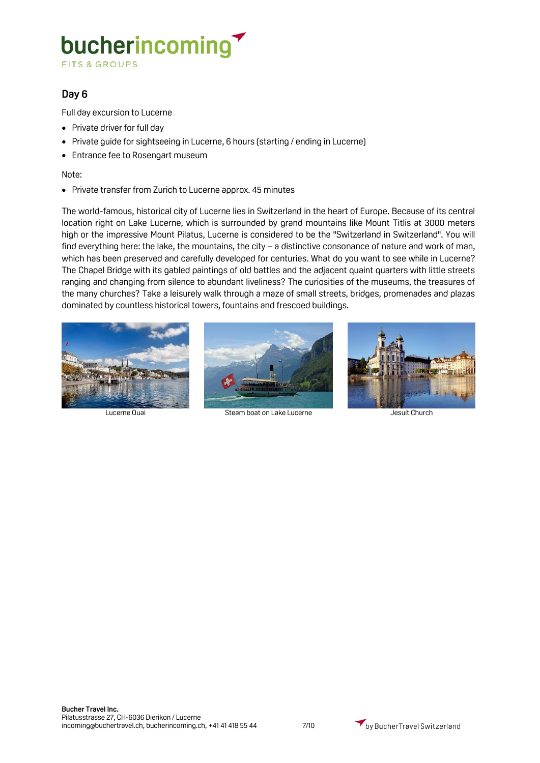**FITS & GROUPS** 

#### **Day 6**

Full day excursion to Lucerne

- Private driver for full day
- Private guide for sightseeing in Lucerne, 6 hours (starting / ending in Lucerne)
- Entrance fee to Rosengart museum

Note:

Private transfer from Zurich to Lucerne approx. 45 minutes

The world-famous, historical city of Lucerne lies in Switzerland in the heart of Europe. Because of its central location right on Lake Lucerne, which is surrounded by grand mountains like Mount Titlis at 3000 meters high or the impressive Mount Pilatus, Lucerne is considered to be the "Switzerland in Switzerland". You will find everything here: the lake, the mountains, the city – a distinctive consonance of nature and work of man, which has been preserved and carefully developed for centuries. What do you want to see while in Lucerne? The Chapel Bridge with its gabled paintings of old battles and the adjacent quaint quarters with little streets ranging and changing from silence to abundant liveliness? The curiosities of the museums, the treasures of the many churches? Take a leisurely walk through a maze of small streets, bridges, promenades and plazas dominated by countless historical towers, fountains and frescoed buildings.





Lucerne Quai Steam boat on Lake Lucerne **Steam boat on Lake Lucerne** Jesuit Church



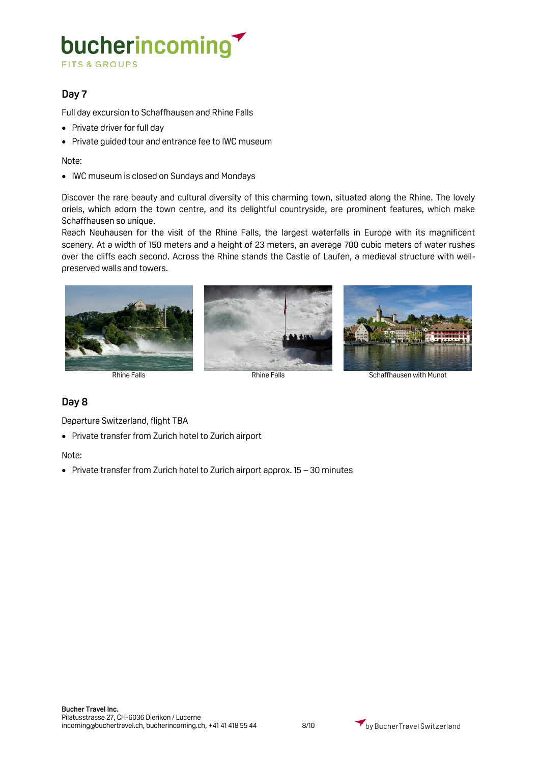FITS & GROUPS

#### **Day 7**

Full day excursion to Schaffhausen and Rhine Falls

- Private driver for full day
- Private guided tour and entrance fee to IWC museum

Note:

IWC museum is closed on Sundays and Mondays

Discover the rare beauty and cultural diversity of this charming town, situated along the Rhine. The lovely oriels, which adorn the town centre, and its delightful countryside, are prominent features, which make Schaffhausen so unique.

Reach Neuhausen for the visit of the Rhine Falls, the largest waterfalls in Europe with its magnificent scenery. At a width of 150 meters and a height of 23 meters, an average 700 cubic meters of water rushes over the cliffs each second. Across the Rhine stands the Castle of Laufen, a medieval structure with wellpreserved walls and towers.



#### **Day 8**

Departure Switzerland, flight TBA

Private transfer from Zurich hotel to Zurich airport

#### Note:

Private transfer from Zurich hotel to Zurich airport approx. 15 – 30 minutes

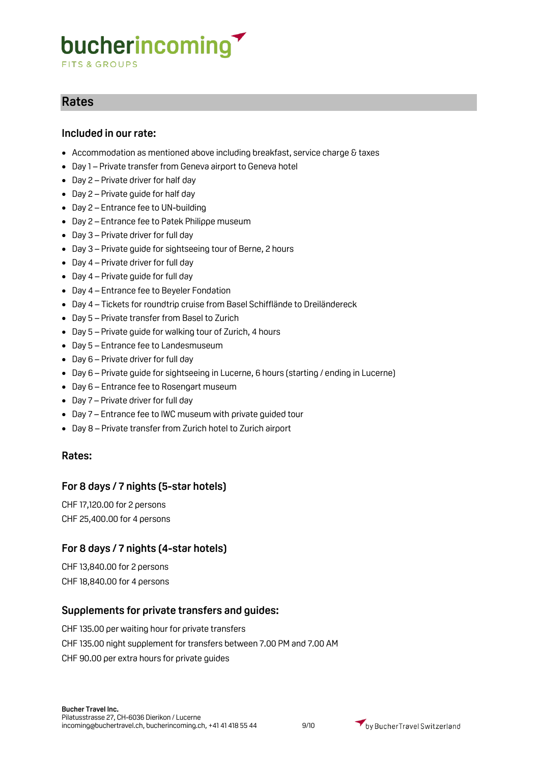**FITS & GROUPS** 

#### **Rates**

#### **Included in our rate:**

- Accommodation as mentioned above including breakfast, service charge & taxes
- Day 1 Private transfer from Geneva airport to Geneva hotel
- Day 2 Private driver for half day
- Day 2 Private guide for half day
- Day 2 Entrance fee to UN-building
- Day 2 Entrance fee to Patek Philippe museum
- Day 3 Private driver for full day
- Day 3 Private guide for sightseeing tour of Berne, 2 hours
- Day 4 Private driver for full day
- Day 4 Private guide for full day
- Day 4 Entrance fee to Beyeler Fondation
- Day 4 Tickets for roundtrip cruise from Basel Schifflände to Dreiländereck
- Day 5 Private transfer from Basel to Zurich
- Day 5 Private guide for walking tour of Zurich, 4 hours
- Day 5 Entrance fee to Landesmuseum
- Day 6 Private driver for full day
- Day 6 Private guide for sightseeing in Lucerne, 6 hours (starting / ending in Lucerne)
- Day 6 Entrance fee to Rosengart museum
- Day 7 Private driver for full day
- Day 7 Entrance fee to IWC museum with private guided tour
- Day 8 Private transfer from Zurich hotel to Zurich airport

#### **Rates:**

#### **For 8 days / 7 nights (5-star hotels)**

CHF 17,120.00 for 2 persons CHF 25,400.00 for 4 persons

#### **For 8 days / 7 nights (4-star hotels)**

CHF 13,840.00 for 2 persons CHF 18,840.00 for 4 persons

#### **Supplements for private transfers and guides:**

CHF 135.00 per waiting hour for private transfers CHF 135.00 night supplement for transfers between 7.00 PM and 7.00 AM CHF 90.00 per extra hours for private guides